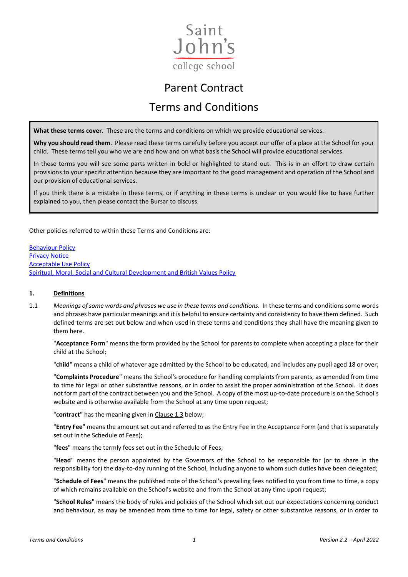

# Parent Contract Terms and Conditions

**What these terms cover**. These are the terms and conditions on which we provide educational services.

**Why you should read them**. Please read these terms carefully before you accept our offer of a place at the School for your child. These terms tell you who we are and how and on what basis the School will provide educational services.

In these terms you will see some parts written in bold or highlighted to stand out. This is in an effort to draw certain provisions to your specific attention because they are important to the good management and operation of the School and our provision of educational services.

If you think there is a mistake in these terms, or if anything in these terms is unclear or you would like to have further explained to you, then please contact the Bursar to discuss.

Other policies referred to within these Terms and Conditions are:

[Behaviour Policy](https://www.sjcs.co.uk/sites/default/files/styles/Policies/SJCS%20Behaviour%20Policy.pdf) [Privacy Notice](https://www.sjcs.co.uk/sites/default/files/styles/Policies/SJCS%20Privacy%20Notice.pdf) [Acceptable Use Policy](https://www.sjcs.co.uk/sites/default/files/styles/Policies/SJCS%20Acceptable%20Use%20Policy.pdf) [Spiritual, Moral, Social and Cultural Development and British Values Policy](https://www.sjcs.co.uk/sites/default/files/styles/Policies/SJCS%20SMSC%20and%20British%20Values%20Policy.pdf)

#### **1. Definitions**

1.1 *Meanings of some words and phrases we use in these terms and conditions.* In these terms and conditionssome words and phrases have particular meanings and it is helpful to ensure certainty and consistency to have them defined. Such defined terms are set out below and when used in these terms and conditions they shall have the meaning given to them here.

"**Acceptance Form**" means the form provided by the School for parents to complete when accepting a place for their child at the School;

"**child**" means a child of whatever age admitted by the School to be educated, and includes any pupil aged 18 or over;

"**Complaints Procedure**" means the School's procedure for handling complaints from parents, as amended from time to time for legal or other substantive reasons, or in order to assist the proper administration of the School. It does not form part of the contract between you and the School. A copy of the most up-to-date procedure is on the School's website and is otherwise available from the School at any time upon request:

"**contract**" has the meaning given in Clause 1.3 below;

"**Entry Fee**" means the amount set out and referred to as the Entry Fee in the Acceptance Form (and that is separately set out in the Schedule of Fees);

"**fees**" means the termly fees set out in the Schedule of Fees;

"**Head**" means the person appointed by the Governors of the School to be responsible for (or to share in the responsibility for) the day-to-day running of the School, including anyone to whom such duties have been delegated;

"**Schedule of Fees**" means the published note of the School's prevailing fees notified to you from time to time, a copy of which remains available on the School's website and from the School at any time upon request;

"**School Rules**" means the body of rules and policies of the School which set out our expectations concerning conduct and behaviour, as may be amended from time to time for legal, safety or other substantive reasons, or in order to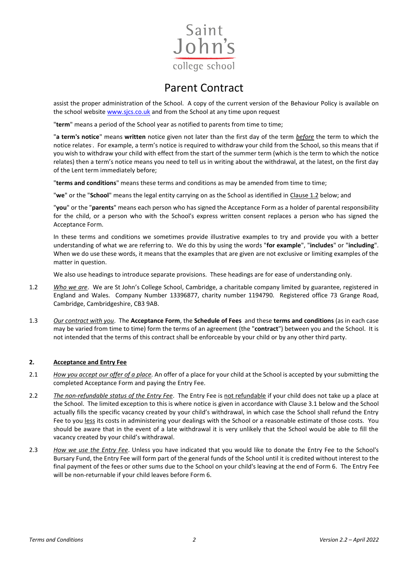

assist the proper administration of the School. A copy of the current version of the Behaviour Policy is available on the school websit[e www.sjcs.co.uk](http://www.sjcs.co.uk/) and from the School at any time upon request

"**term**" means a period of the School year as notified to parents from time to time;

"**a term's notice**" means **written** notice given not later than the first day of the term *before* the term to which the notice relates. . For example, a term's notice is required to withdraw your child from the School, so this means that if you wish to withdraw your child with effect from the start of the summer term (which is the term to which the notice relates) then a term's notice means you need to tell us in writing about the withdrawal, at the latest, on the first day of the Lent term immediately before;

"**terms and conditions**" means these terms and conditions as may be amended from time to time;

"**we**" or the "**School**" means the legal entity carrying on as the School as identified in Clause 1.2 below; and

"**you**" or the "**parents**" means each person who has signed the Acceptance Form as a holder of parental responsibility for the child, or a person who with the School's express written consent replaces a person who has signed the Acceptance Form.

In these terms and conditions we sometimes provide illustrative examples to try and provide you with a better understanding of what we are referring to. We do this by using the words "**for example**", "**includes**" or "**including**". When we do use these words, it means that the examples that are given are not exclusive or limiting examples of the matter in question.

We also use headings to introduce separate provisions. These headings are for ease of understanding only.

- 1.2 *Who we are*. We are St John's College School, Cambridge, a charitable company limited by guarantee, registered in England and Wales. Company Number 13396877, charity number 1194790. Registered office 73 Grange Road, Cambridge, Cambridgeshire, CB3 9AB.
- 1.3 *Our contract with you*. The **Acceptance Form**, the **Schedule of Fees** and these **terms and conditions** (as in each case may be varied from time to time) form the terms of an agreement (the "**contract**") between you and the School. It is not intended that the terms of this contract shall be enforceable by your child or by any other third party.

#### **2. Acceptance and Entry Fee**

- 2.1 *How you accept our offer of a place.* An offer of a place for your child at the School is accepted by your submitting the completed Acceptance Form and paying the Entry Fee.
- 2.2 *The non-refundable status of the Entry Fee*. The Entry Fee is not refundable if your child does not take up a place at the School. The limited exception to this is where notice is given in accordance with Clause 3.1 below and the School actually fills the specific vacancy created by your child's withdrawal, in which case the School shall refund the Entry Fee to you less its costs in administering your dealings with the School or a reasonable estimate of those costs. You should be aware that in the event of a late withdrawal it is very unlikely that the School would be able to fill the vacancy created by your child's withdrawal.
- 2.3 *How we use the Entry Fee*. Unless you have indicated that you would like to donate the Entry Fee to the School's Bursary Fund, the Entry Fee will form part of the general funds of the School until it is credited without interest to the final payment of the fees or other sums due to the School on your child's leaving at the end of Form 6. The Entry Fee will be non-returnable if your child leaves before Form 6.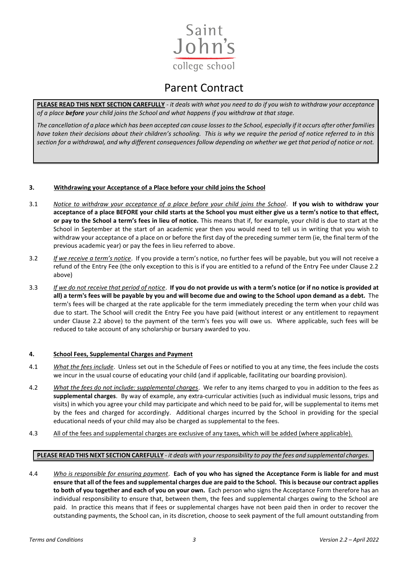

**PLEASE READ THIS NEXT SECTION CAREFULLY** *- it deals with what you need to do if you wish to withdraw your acceptance of a place before your child joins the School and what happens if you withdraw at that stage.*

*The cancellation of a place which has been accepted can cause losses to the School, especially if it occurs after other families have taken their decisions about their children's schooling. This is why we require the period of notice referred to in this section for a withdrawal, and why different consequences follow depending on whether we get that period of notice or not.* 

#### **3. Withdrawing your Acceptance of a Place before your child joins the School**

- 3.1 *Notice to withdraw your acceptance of a place before your child joins the School*. **If you wish to withdraw your acceptance of a place BEFORE your child starts at the School you must either give us a term's notice to that effect, or pay to the School a term's fees in lieu of notice.** This means that if, for example, your child is due to start at the School in September at the start of an academic year then you would need to tell us in writing that you wish to withdraw your acceptance of a place on or before the first day of the preceding summer term (ie, the final term of the previous academic year) or pay the fees in lieu referred to above.
- 3.2 *If we receive a term's notice*.If you provide a term's notice, no further fees will be payable, but you will not receive a refund of the Entry Fee (the only exception to this is if you are entitled to a refund of the Entry Fee under Clause 2.2 above)
- 3.3 *If we do not receive that period of notice*. **If you do not provide us with a term's notice (or if no notice is provided at all) a term's fees will be payable by you and will become due and owing to the School upon demand as a debt.** The term's fees will be charged at the rate applicable for the term immediately preceding the term when your child was due to start. The School will credit the Entry Fee you have paid (without interest or any entitlement to repayment under Clause 2.2 above) to the payment of the term's fees you will owe us. Where applicable, such fees will be reduced to take account of any scholarship or bursary awarded to you.

#### **4. School Fees, Supplemental Charges and Payment**

- 4.1 *What the fees include*. Unless set out in the Schedule of Fees or notified to you at any time, the fees include the costs we incur in the usual course of educating your child (and if applicable, facilitating our boarding provision).
- 4.2 *What the fees do not include: supplemental charges*. We refer to any items charged to you in addition to the fees as **supplemental charges**. By way of example, any extra-curricular activities (such as individual music lessons, trips and visits) in which you agree your child may participate and which need to be paid for, will be supplemental to items met by the fees and charged for accordingly. Additional charges incurred by the School in providing for the special educational needs of your child may also be charged as supplemental to the fees.
- 4.3 All of the fees and supplemental charges are exclusive of any taxes, which will be added (where applicable).

#### **PLEASE READ THIS NEXT SECTION CAREFULLY** *- it deals with your responsibility to pay the fees and supplemental charges.*

4.4 *Who is responsible for ensuring payment*. **Each of you who has signed the Acceptance Form is liable for and must ensure that all of the fees and supplemental charges due are paid to the School. This is because our contract applies to both of you together and each of you on your own.** Each person who signs the Acceptance Form therefore has an individual responsibility to ensure that, between them, the fees and supplemental charges owing to the School are paid. In practice this means that if fees or supplemental charges have not been paid then in order to recover the outstanding payments, the School can, in its discretion, choose to seek payment of the full amount outstanding from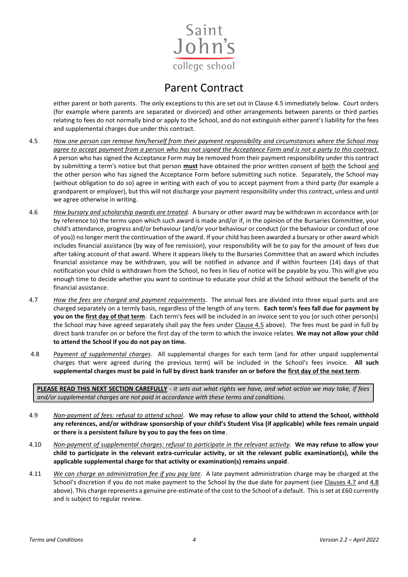

either parent or both parents. The only exceptions to this are set out in Clause 4.5 immediately below. Court orders (for example where parents are separated or divorced) and other arrangements between parents or third parties relating to fees do not normally bind or apply to the School, and do not extinguish either parent's liability for the fees and supplemental charges due under this contract.

- 4.5 *How one person can remove him/herself from their payment responsibility and circumstances where the School may agree to accept payment from a person who has not signed the Acceptance Form and is not a party to this contract.* A person who has signed the Acceptance Form may be removed from their payment responsibility under this contract by submitting a term's notice but that person **must** have obtained the prior written consent of both the School and the other person who has signed the Acceptance Form before submitting such notice. Separately, the School may (without obligation to do so) agree in writing with each of you to accept payment from a third party (for example a grandparent or employer), but this will not discharge your payment responsibility under this contract, unless and until we agree otherwise in writing.
- 4.6 *How bursary and scholarship awards are treated*. A bursary or other award may be withdrawn in accordance with (or by reference to) the terms upon which such award is made and/or if, in the opinion of the Bursaries Committee, your child's attendance, progress and/or behaviour (and/or your behaviour or conduct (or the behaviour or conduct of one of you)) no longer merit the continuation of the award. If your child has been awarded a bursary or other award which includes financial assistance (by way of fee remission), your responsibility will be to pay for the amount of fees due after taking account of that award. Where it appears likely to the Bursaries Committee that an award which includes financial assistance may be withdrawn, you will be notified in advance and if within fourteen (14) days of that notification your child is withdrawn from the School, no fees in lieu of notice will be payable by you. This will give you enough time to decide whether you want to continue to educate your child at the School without the benefit of the financial assistance.
- 4.7 *How the fees are charged and payment requirements*. The annual fees are divided into three equal parts and are charged separately on a termly basis, regardless of the length of any term. **Each term's fees fall due for payment by you on the first day of that term**. Each term's fees will be included in an invoice sent to you (or such other person(s) the School may have agreed separately shall pay the fees under Clause 4.5 above). The fees must be paid in full by direct bank transfer on or before the first day of the term to which the invoice relates. **We may not allow your child to attend the School if you do not pay on time.**
- 4.8 *Payment of supplemental charges*. All supplemental charges for each term (and for other unpaid supplemental charges that were agreed during the previous term) will be included in the School's fees invoice. **All such supplemental charges must be paid in full by direct bank transfer on or before the first day of the next term**.

**PLEASE READ THIS NEXT SECTION CAREFULLY** *- it sets out what rights we have, and what action we may take, if fees and/or supplemental charges are not paid in accordance with these terms and conditions.*

- 4.9 *Non-payment of fees: refusal to attend school*. **We may refuse to allow your child to attend the School, withhold any references, and/or withdraw sponsorship of your child's Student Visa (if applicable) while fees remain unpaid or there is a persistent failure by you to pay the fees on time**.
- 4.10 *Non-payment of supplemental charges: refusal to participate in the relevant activity*. **We may refuse to allow your child to participate in the relevant extra-curricular activity, or sit the relevant public examination(s), while the applicable supplemental charge for that activity or examination(s) remains unpaid**.
- 4.11 *We can charge an administration fee if you pay late*. A late payment administration charge may be charged at the School's discretion if you do not make payment to the School by the due date for payment (see Clauses 4.7 and 4.8 above). This charge represents a genuine pre-estimate of the cost to the School of a default. This is set at £60 currently and is subject to regular review.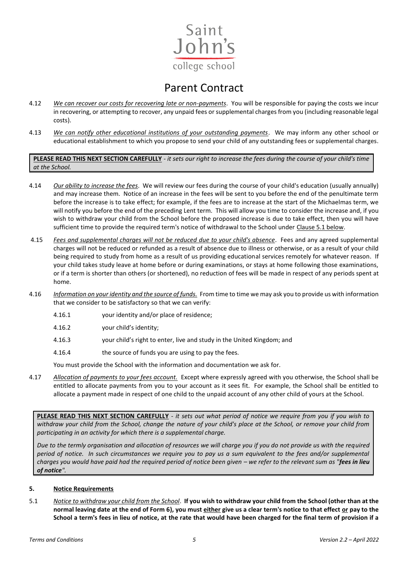

- 4.12 *We can recover our costs for recovering late or non-payments*. You will be responsible for paying the costs we incur in recovering, or attempting to recover, any unpaid fees or supplemental charges from you (including reasonable legal costs).
- 4.13 *We can notify other educational institutions of your outstanding payments*. We may inform any other school or educational establishment to which you propose to send your child of any outstanding fees or supplemental charges.

**PLEASE READ THIS NEXT SECTION CAREFULLY** *- it sets our right to increase the fees during the course of your child's time at the School.*

- 4.14 *Our ability to increase the fees*. We will review our fees during the course of your child's education (usually annually) and may increase them. Notice of an increase in the fees will be sent to you before the end of the penultimate term before the increase is to take effect; for example, if the fees are to increase at the start of the Michaelmas term, we will notify you before the end of the preceding Lent term. This will allow you time to consider the increase and, if you wish to withdraw your child from the School before the proposed increase is due to take effect, then you will have sufficient time to provide the required term's notice of withdrawal to the School under Clause 5.1 below.
- 4.15 *Fees and supplemental charges will not be reduced due to your child's absence*. Fees and any agreed supplemental charges will not be reduced or refunded as a result of absence due to illness or otherwise, or as a result of your child being required to study from home as a result of us providing educational services remotely for whatever reason. If your child takes study leave at home before or during examinations, or stays at home following those examinations, or if a term is shorter than others (or shortened), no reduction of fees will be made in respect of any periods spent at home.
- 4.16 *Information on your identity and the source of funds.* From time to time we may ask you to provide us with information that we consider to be satisfactory so that we can verify:
	- 4.16.1 your identity and/or place of residence;
	- 4.16.2 your child's identity;
	- 4.16.3 your child's right to enter, live and study in the United Kingdom; and
	- 4.16.4 the source of funds you are using to pay the fees.

You must provide the School with the information and documentation we ask for.

4.17 *Allocation of payments to your fees account.* Except where expressly agreed with you otherwise, the School shall be entitled to allocate payments from you to your account as it sees fit. For example, the School shall be entitled to allocate a payment made in respect of one child to the unpaid account of any other child of yours at the School.

**PLEASE READ THIS NEXT SECTION CAREFULLY** *- it sets out what period of notice we require from you if you wish to withdraw your child from the School, change the nature of your child's place at the School, or remove your child from participating in an activity for which there is a supplemental charge.*

*Due to the termly organisation and allocation of resources we will charge you if you do not provide us with the required period of notice. In such circumstances we require you to pay us a sum equivalent to the fees and/or supplemental charges you would have paid had the required period of notice been given – we refer to the relevant sum as "fees in lieu of notice".* 

#### **5. Notice Requirements**

5.1 *Notice to withdraw your child from the School*. **If you wish to withdraw your child from the School (other than at the normal leaving date at the end of Form 6), you must either give us a clear term's notice to that effect or pay to the School a term's fees in lieu of notice, at the rate that would have been charged for the final term of provision if a**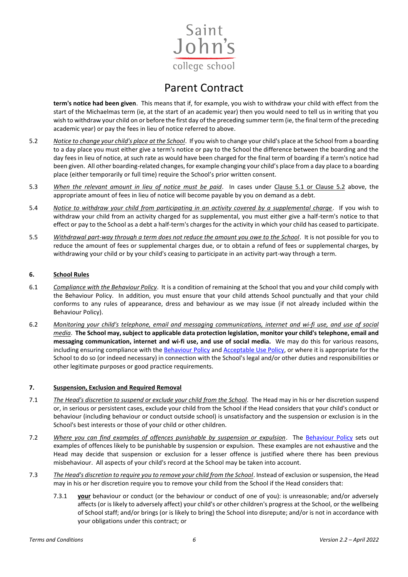

**term's notice had been given**. This means that if, for example, you wish to withdraw your child with effect from the start of the Michaelmas term (ie, at the start of an academic year) then you would need to tell us in writing that you wish to withdraw your child on or before the first day of the preceding summer term (ie, the final term of the preceding academic year) or pay the fees in lieu of notice referred to above.

- 5.2 *Notice to change your child's place at the School*. If you wish to change your child's place at the School from a boarding to a day place you must either give a term's notice or pay to the School the difference between the boarding and the day fees in lieu of notice, at such rate as would have been charged for the final term of boarding if a term's notice had been given. All other boarding-related changes, for example changing your child's place from a day place to a boarding place (either temporarily or full time) require the School's prior written consent.
- 5.3 *When the relevant amount in lieu of notice must be paid*. In cases under Clause 5.1 or Clause 5.2 above, the appropriate amount of fees in lieu of notice will become payable by you on demand as a debt.
- 5.4 *Notice to withdraw your child from participating in an activity covered by a supplemental charge*. If you wish to withdraw your child from an activity charged for as supplemental, you must either give a half-term's notice to that effect or pay to the School as a debt a half-term's charges for the activity in which your child has ceased to participate.
- 5.5 *Withdrawal part-way through a term does not reduce the amount you owe to the School*. It is not possible for you to reduce the amount of fees or supplemental charges due, or to obtain a refund of fees or supplemental charges, by withdrawing your child or by your child's ceasing to participate in an activity part-way through a term.

#### **6. School Rules**

- 6.1 *Compliance with the Behaviour Policy*. It is a condition of remaining at the School that you and your child comply with the Behaviour Policy. In addition, you must ensure that your child attends School punctually and that your child conforms to any rules of appearance, dress and behaviour as we may issue (if not already included within the Behaviour Policy).
- 6.2 *Monitoring your child's telephone, email and messaging communications, internet and wi-fi use, and use of social media*. **The School may, subject to applicable data protection legislation, monitor your child's telephone, email and messaging communication, internet and wi-fi use, and use of social media.** We may do this for various reasons, including ensuring compliance with the [Behaviour Policy](https://www.sjcs.co.uk/sites/default/files/styles/Policies/SJCS%20Behaviour%20Policy.pdf) and [Acceptable Use Policy,](https://www.sjcs.co.uk/sites/default/files/styles/Policies/SJCS%20Acceptable%20Use%20Policy.pdf) or where it is appropriate for the School to do so (or indeed necessary) in connection with the School's legal and/or other duties and responsibilities or other legitimate purposes or good practice requirements.

#### **7. Suspension, Exclusion and Required Removal**

- 7.1 *The Head's discretion to suspend or exclude your child from the School*. The Head may in his or her discretion suspend or, in serious or persistent cases, exclude your child from the School if the Head considers that your child's conduct or behaviour (including behaviour or conduct outside school) is unsatisfactory and the suspension or exclusion is in the School's best interests or those of your child or other children.
- 7.2 *Where you can find examples of offences punishable by suspension or expulsion*. The **Behaviour Policy** sets out examples of offences likely to be punishable by suspension or expulsion. These examples are not exhaustive and the Head may decide that suspension or exclusion for a lesser offence is justified where there has been previous misbehaviour. All aspects of your child's record at the School may be taken into account.
- 7.3 *The Head's discretion to require you to remove your child from the School*. Instead of exclusion or suspension, the Head may in his or her discretion require you to remove your child from the School if the Head considers that:
	- 7.3.1 **your** behaviour or conduct (or the behaviour or conduct of one of you): is unreasonable; and/or adversely affects (or is likely to adversely affect) your child's or other children's progress at the School, or the wellbeing of School staff; and/or brings (or is likely to bring) the School into disrepute; and/or is not in accordance with your obligations under this contract; or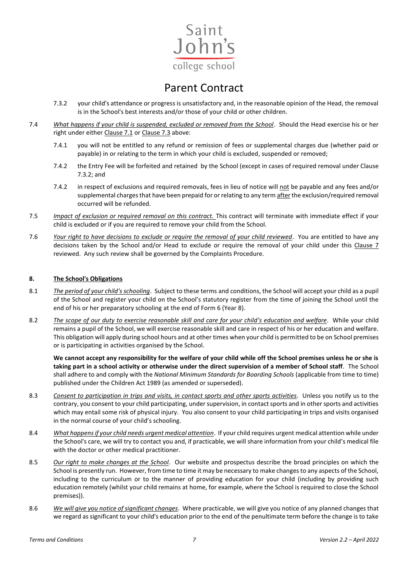

- 7.3.2 your child's attendance or progress is unsatisfactory and, in the reasonable opinion of the Head, the removal is in the School's best interests and/or those of your child or other children.
- 7.4 *What happens if your child is suspended, excluded or removed from the School*. Should the Head exercise his or her right under either Clause 7.1 or Clause 7.3 above:
	- 7.4.1 you will not be entitled to any refund or remission of fees or supplemental charges due (whether paid or payable) in or relating to the term in which your child is excluded, suspended or removed;
	- 7.4.2 the Entry Fee will be forfeited and retained by the School (except in cases of required removal under Clause 7.3.2; and
	- 7.4.2 in respect of exclusions and required removals, fees in lieu of notice will not be payable and any fees and/or supplemental charges that have been prepaid for or relating to any term after the exclusion/required removal occurred will be refunded.
- 7.5 *Impact of exclusion or required removal on this contract.* This contract will terminate with immediate effect if your child is excluded or if you are required to remove your child from the School.
- 7.6 *Your right to have decisions to exclude or require the removal of your child reviewed*. You are entitled to have any decisions taken by the School and/or Head to exclude or require the removal of your child under this Clause 7 reviewed. Any such review shall be governed by the Complaints Procedure.

#### **8. The School's Obligations**

- 8.1 *The period of your child's schooling*. Subject to these terms and conditions, the School will accept your child as a pupil of the School and register your child on the School's statutory register from the time of joining the School until the end of his or her preparatory schooling at the end of Form 6 (Year 8).
- 8.2 *The scope of our duty to exercise reasonable skill and care for your child's education and welfare*. While your child remains a pupil of the School, we will exercise reasonable skill and care in respect of his or her education and welfare. This obligation will apply during school hours and at other times when your child is permitted to be on School premises or is participating in activities organised by the School.

**We cannot accept any responsibility for the welfare of your child while off the School premises unless he or she is taking part in a school activity or otherwise under the direct supervision of a member of School staff**. The School shall adhere to and comply with the *National Minimum Standards for Boarding Schools* (applicable from time to time) published under the Children Act 1989 (as amended or superseded).

- 8.3 *Consent to participation in trips and visits, in contact sports and other sports activities*. Unless you notify us to the contrary, you consent to your child participating, under supervision, in contact sports and in other sports and activities which may entail some risk of physical injury. You also consent to your child participating in trips and visits organised in the normal course of your child's schooling.
- 8.4 *What happens if your child needs urgent medical attention*. If your child requires urgent medical attention while under the School's care, we will try to contact you and, if practicable, we will share information from your child's medical file with the doctor or other medical practitioner.
- 8.5 *Our right to make changes at the School*. Our website and prospectus describe the broad principles on which the School is presently run. However, from time to time it may be necessary to make changes to any aspects of the School, including to the curriculum or to the manner of providing education for your child (including by providing such education remotely (whilst your child remains at home, for example, where the School is required to close the School premises)).
- 8.6 *We will give you notice of significant changes*. Where practicable, we will give you notice of any planned changes that we regard as significant to your child's education prior to the end of the penultimate term before the change is to take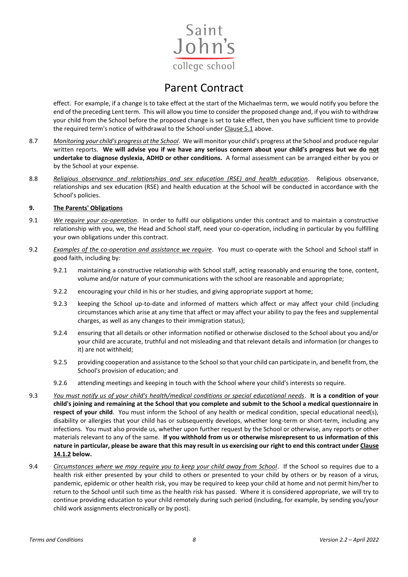

effect. For example, if a change is to take effect at the start of the Michaelmas term, we would notify you before the end of the preceding Lent term. This will allow you time to consider the proposed change and, if you wish to withdraw your child from the School before the proposed change is set to take effect, then you have sufficient time to provide the required term's notice of withdrawal to the School under Clause 5.1 above.

- 8.7 *Monitoring your child's progress at the School*. We will monitor your child's progress at the School and produce regular written reports. **We will advise you if we have any serious concern about your child's progress but we do not undertake to diagnose dyslexia, ADHD or other conditions.** A formal assessment can be arranged either by you or by the School at your expense.
- 8.8 *Religious observance and relationships and sex education (RSE) and health education*. Religious observance, relationships and sex education (RSE) and health education at the School will be conducted in accordance with the School's policies.

#### **9. The Parents' Obligations**

- 9.1 *We require your co-operation*. In order to fulfil our obligations under this contract and to maintain a constructive relationship with you, we, the Head and School staff, need your co-operation, including in particular by you fulfilling your own obligations under this contract.
- 9.2 *Examples of the co-operation and assistance we require*. You must co-operate with the School and School staff in good faith, including by:
	- 9.2.1 maintaining a constructive relationship with School staff, acting reasonably and ensuring the tone, content, volume and/or nature of your communications with the school are reasonable and appropriate;
	- 9.2.2 encouraging your child in his or her studies, and giving appropriate support at home;
	- 9.2.3 keeping the School up-to-date and informed of matters which affect or may affect your child (including circumstances which arise at any time that affect or may affect your ability to pay the fees and supplemental charges, as well as any changes to their immigration status);
	- 9.2.4 ensuring that all details or other information notified or otherwise disclosed to the School about you and/or your child are accurate, truthful and not misleading and that relevant details and information (or changes to it) are not withheld;
	- 9.2.5 providing cooperation and assistance to the School so that your child can participate in, and benefit from, the School's provision of education; and
	- 9.2.6 attending meetings and keeping in touch with the School where your child's interests so require.
- 9.3 *You must notify us of your child's health/medical conditions or special educational needs*. **It is a condition of your child's joining and remaining at the School that you complete and submit to the School a medical questionnaire in respect of your child**. You must inform the School of any health or medical condition, special educational need(s), disability or allergies that your child has or subsequently develops, whether long-term or short-term, including any infections. You must also provide us, whether upon further request by the School or otherwise, any reports or other materials relevant to any of the same. **If you withhold from us or otherwise misrepresent to us information of this nature in particular, please be aware that this may result in us exercising our right to end this contract under Clause 14.1.2 below.**
- 9.4 *Circumstances where we may require you to keep your child away from School*. If the School so requires due to a health risk either presented by your child to others or presented to your child by others or by reason of a virus, pandemic, epidemic or other health risk, you may be required to keep your child at home and not permit him/her to return to the School until such time as the health risk has passed. Where it is considered appropriate, we will try to continue providing education to your child remotely during such period (including, for example, by sending you/your child work assignments electronically or by post).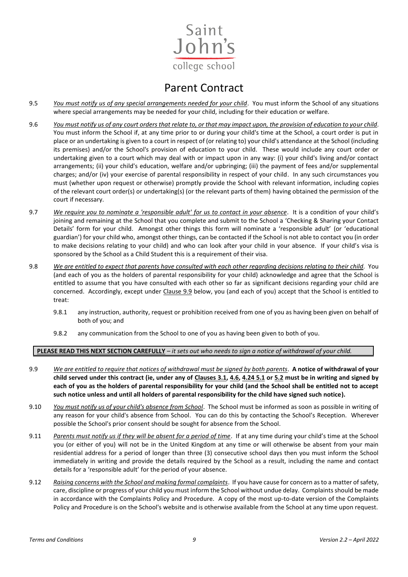

- 9.5 *You must notify us of any special arrangements needed for your child*. You must inform the School of any situations where special arrangements may be needed for your child, including for their education or welfare.
- 9.6 *You must notify us of any court orders that relate to, or that may impact upon, the provision of education to your child*. You must inform the School if, at any time prior to or during your child's time at the School, a court order is put in place or an undertaking is given to a court in respect of (or relating to) your child's attendance at the School (including its premises) and/or the School's provision of education to your child. These would include any court order or undertaking given to a court which may deal with or impact upon in any way: (i) your child's living and/or contact arrangements; (ii) your child's education, welfare and/or upbringing; (iii) the payment of fees and/or supplemental charges; and/or (iv) your exercise of parental responsibility in respect of your child. In any such circumstances you must (whether upon request or otherwise) promptly provide the School with relevant information, including copies of the relevant court order(s) or undertaking(s) (or the relevant parts of them) having obtained the permission of the court if necessary.
- 9.7 *We require you to nominate a 'responsible adult' for us to contact in your absence*. It is a condition of your child's joining and remaining at the School that you complete and submit to the School a 'Checking & Sharing your Contact Details' form for your child. Amongst other things this form will nominate a 'responsible adult' (or 'educational guardian') for your child who, amongst other things, can be contacted if the School is not able to contact you (in order to make decisions relating to your child) and who can look after your child in your absence. If your child's visa is sponsored by the School as a Child Student this is a requirement of their visa.
- 9.8 *We are entitled to expect that parents have consulted with each other regarding decisions relating to their child*. You (and each of you as the holders of parental responsibility for your child) acknowledge and agree that the School is entitled to assume that you have consulted with each other so far as significant decisions regarding your child are concerned. Accordingly, except under Clause 9.9 below, you (and each of you) accept that the School is entitled to treat:
	- 9.8.1 any instruction, authority, request or prohibition received from one of you as having been given on behalf of both of you; and
	- 9.8.2 any communication from the School to one of you as having been given to both of you.

#### **PLEASE READ THIS NEXT SECTION CAREFULLY** *– it sets out who needs to sign a notice of withdrawal of your child.*

- 9.9 *We are entitled to require that notices of withdrawal must be signed by both parents*. **A notice of withdrawal of your child served under this contract (ie, under any of Clauses 3.1, 4.6, 4.24 5.1 or 5.2 must be in writing and signed by each of you as the holders of parental responsibility for your child (and the School shall be entitled not to accept such notice unless and until all holders of parental responsibility for the child have signed such notice).**
- 9.10 *You must notify us of your child's absence from School*. The School must be informed as soon as possible in writing of any reason for your child's absence from School. You can do this by contacting the School's Reception. Wherever possible the School's prior consent should be sought for absence from the School.
- 9.11 *Parents must notify us if they will be absent for a period of time*. If at any time during your child's time at the School you (or either of you) will not be in the United Kingdom at any time or will otherwise be absent from your main residential address for a period of longer than three (3) consecutive school days then you must inform the School immediately in writing and provide the details required by the School as a result, including the name and contact details for a 'responsible adult' for the period of your absence.
- 9.12 *Raising concerns with the School and making formal complaints*. If you have cause for concern as to a matter of safety, care, discipline or progress of your child you must inform the School without undue delay. Complaints should be made in accordance with the Complaints Policy and Procedure. A copy of the most up-to-date version of the Complaints Policy and Procedure is on the School's website and is otherwise available from the School at any time upon request.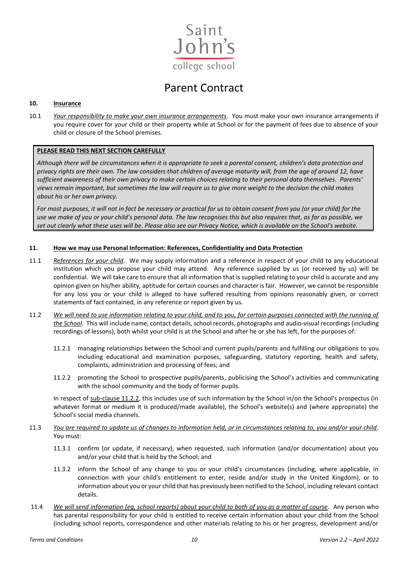

#### **10. Insurance**

10.1 *Your responsibility to make your own insurance arrangements*. You must make your own insurance arrangements if you require cover for your child or their property while at School or for the payment of fees due to absence of your child or closure of the School premises.

#### **PLEASE READ THIS NEXT SECTION CAREFULLY**

*Although there will be circumstances when it is appropriate to seek a parental consent, children's data protection and privacy rights are their own. The law considers that children of average maturity will, from the age of around 12, have sufficient awareness of their own privacy to make certain choices relating to their personal data themselves. Parents' views remain important, but sometimes the law will require us to give more weight to the decision the child makes about his or her own privacy.*

*For most purposes, it will not in fact be necessary or practical for us to obtain consent from you (or your child) for the use we make of you or your child's personal data. The law recognises this but also requires that, as far as possible, we set out clearly what these uses will be. Please also see our Privacy Notice, which is available on the School's website.* 

#### **11. How we may use Personal Information: References, Confidentiality and Data Protection**

- 11.1 *References for your child*. We may supply information and a reference in respect of your child to any educational institution which you propose your child may attend. Any reference supplied by us (or received by us) will be confidential. We will take care to ensure that all information that is supplied relating to your child is accurate and any opinion given on his/her ability, aptitude for certain courses and character is fair. However, we cannot be responsible for any loss you or your child is alleged to have suffered resulting from opinions reasonably given, or correct statements of fact contained, in any reference or report given by us.
- 11.2 *We will need to use information relating to your child, and to you, for certain purposes connected with the running of the School*. This will include name, contact details, school records, photographs and audio-visual recordings (including recordings of lessons), both whilst your child is at the School and after he or she has left, for the purposes of:
	- 11.2.1 managing relationships between the School and current pupils/parents and fulfilling our obligations to you including educational and examination purposes, safeguarding, statutory reporting, health and safety, complaints, administration and processing of fees; and
	- 11.2.2 promoting the School to prospective pupils/parents, publicising the School's activities and communicating with the school community and the body of former pupils.

In respect of sub-clause 11.2.2, this includes use of such information by the School in/on the School's prospectus (in whatever format or medium it is produced/made available), the School's website(s) and (where appropriate) the School's social media channels.

- 11.3 *You are required to update us of changes to information held, or in circumstances relating to, you and/or your child*. You must:
	- 11.3.1 confirm (or update, if necessary), when requested, such information (and/or documentation) about you and/or your child that is held by the School; and
	- 11.3.2 inform the School of any change to you or your child's circumstances (including, where applicable, in connection with your child's entitlement to enter, reside and/or study in the United Kingdom), or to information about you or your child that has previously been notified to the School, including relevant contact details.
- 11.4 *We will send information (eg, school reports) about your child to both of you as a matter of course*. Any person who has parental responsibility for your child is entitled to receive certain information about your child from the School (including school reports, correspondence and other materials relating to his or her progress, development and/or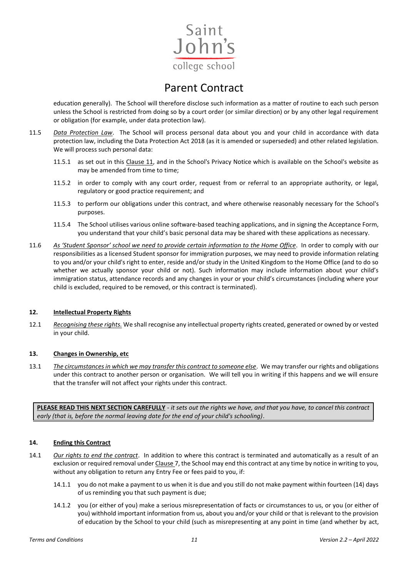

education generally). The School will therefore disclose such information as a matter of routine to each such person unless the School is restricted from doing so by a court order (or similar direction) or by any other legal requirement or obligation (for example, under data protection law).

- 11.5 *Data Protection Law*. The School will process personal data about you and your child in accordance with data protection law, including the Data Protection Act 2018 (as it is amended or superseded) and other related legislation. We will process such personal data:
	- 11.5.1 as set out in this Clause 11, and in the School's Privacy Notice which is available on the School's website as may be amended from time to time;
	- 11.5.2 in order to comply with any court order, request from or referral to an appropriate authority, or legal, regulatory or good practice requirement; and
	- 11.5.3 to perform our obligations under this contract, and where otherwise reasonably necessary for the School's purposes.
	- 11.5.4 The School utilises various online software-based teaching applications, and in signing the Acceptance Form, you understand that your child's basic personal data may be shared with these applications as necessary.
- 11.6 *As 'Student Sponsor' school we need to provide certain information to the Home Office*. In order to comply with our responsibilities as a licensed Student sponsor for immigration purposes, we may need to provide information relating to you and/or your child's right to enter, reside and/or study in the United Kingdom to the Home Office (and to do so whether we actually sponsor your child or not). Such information may include information about your child's immigration status, attendance records and any changes in your or your child's circumstances (including where your child is excluded, required to be removed, or this contract is terminated).

#### **12. Intellectual Property Rights**

12.1 *Recognising these rights.* We shall recognise any intellectual property rights created, generated or owned by or vested in your child.

#### **13. Changes in Ownership, etc**

13.1 *The circumstances in which we may transfer this contract to someone else*. We may transfer our rights and obligations under this contract to another person or organisation. We will tell you in writing if this happens and we will ensure that the transfer will not affect your rights under this contract.

**PLEASE READ THIS NEXT SECTION CAREFULLY** *- it sets out the rights we have, and that you have, to cancel this contract early (that is, before the normal leaving date for the end of your child's schooling)*.

#### **14. Ending this Contract**

- 14.1 *Our rights to end the contract*. In addition to where this contract is terminated and automatically as a result of an exclusion or required removal under Clause 7, the School may end this contract at any time by notice in writing to you, without any obligation to return any Entry Fee or fees paid to you, if:
	- 14.1.1 you do not make a payment to us when it is due and you still do not make payment within fourteen (14) days of us reminding you that such payment is due;
	- 14.1.2 you (or either of you) make a serious misrepresentation of facts or circumstances to us, or you (or either of you) withhold important information from us, about you and/or your child or that is relevant to the provision of education by the School to your child (such as misrepresenting at any point in time (and whether by act,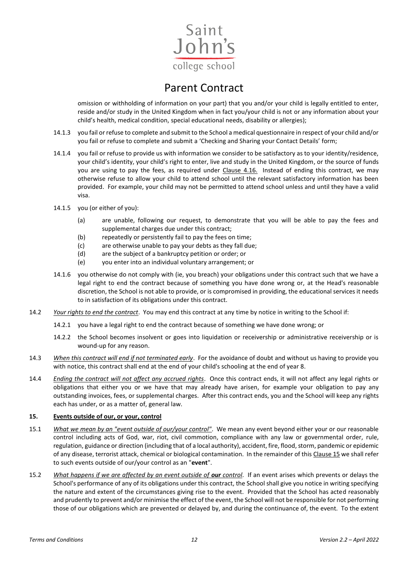

omission or withholding of information on your part) that you and/or your child is legally entitled to enter, reside and/or study in the United Kingdom when in fact you/your child is not or any information about your child's health, medical condition, special educational needs, disability or allergies);

- 14.1.3 you fail or refuse to complete and submit to the School a medical questionnaire in respect of your child and/or you fail or refuse to complete and submit a 'Checking and Sharing your Contact Details' form;
- 14.1.4 you fail or refuse to provide us with information we consider to be satisfactory as to your identity/residence, your child's identity, your child's right to enter, live and study in the United Kingdom, or the source of funds you are using to pay the fees, as required under Clause 4.16. Instead of ending this contract, we may otherwise refuse to allow your child to attend school until the relevant satisfactory information has been provided. For example, your child may not be permitted to attend school unless and until they have a valid visa.
- 14.1.5 you (or either of you):
	- (a) are unable, following our request, to demonstrate that you will be able to pay the fees and supplemental charges due under this contract;
	- (b) repeatedly or persistently fail to pay the fees on time;
	- (c) are otherwise unable to pay your debts as they fall due;
	- (d) are the subject of a bankruptcy petition or order; or
	- (e) you enter into an individual voluntary arrangement; or
- 14.1.6 you otherwise do not comply with (ie, you breach) your obligations under this contract such that we have a legal right to end the contract because of something you have done wrong or, at the Head's reasonable discretion, the School is not able to provide, or is compromised in providing, the educational services it needs to in satisfaction of its obligations under this contract.
- 14.2 *Your rights to end the contract*. You may end this contract at any time by notice in writing to the School if:
	- 14.2.1 you have a legal right to end the contract because of something we have done wrong; or
	- 14.2.2 the School becomes insolvent or goes into liquidation or receivership or administrative receivership or is wound-up for any reason.
- 14.3 *When this contract will end if not terminated early*. For the avoidance of doubt and without us having to provide you with notice, this contract shall end at the end of your child's schooling at the end of year 8.
- 14.4 *Ending the contract will not affect any accrued rights*. Once this contract ends, it will not affect any legal rights or obligations that either you or we have that may already have arisen, for example your obligation to pay any outstanding invoices, fees, or supplemental charges. After this contract ends, you and the School will keep any rights each has under, or as a matter of, general law.

#### **15. Events outside of our, or your, control**

- 15.1 *What we mean by an "event outside of our/your control"*. We mean any event beyond either your or our reasonable control including acts of God, war, riot, civil commotion, compliance with any law or governmental order, rule, regulation, guidance or direction (including that of a local authority), accident, fire, flood, storm, pandemic or epidemic of any disease, terrorist attack, chemical or biological contamination. In the remainder of this Clause 15 we shall refer to such events outside of our/your control as an "**event**".
- 15.2 *What happens if we are affected by an event outside of <i>our* control. If an event arises which prevents or delays the School's performance of any of its obligations under this contract, the School shall give you notice in writing specifying the nature and extent of the circumstances giving rise to the event. Provided that the School has acted reasonably and prudently to prevent and/or minimise the effect of the event, the School will not be responsible for not performing those of our obligations which are prevented or delayed by, and during the continuance of, the event. To the extent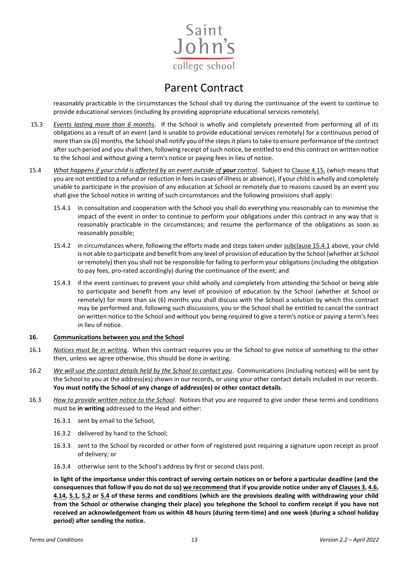

reasonably practicable in the circumstances the School shall try during the continuance of the event to continue to provide educational services (including by providing appropriate educational services remotely).

- 15.3 *Events lasting more than 6 months*. If the School is wholly and completely prevented from performing all of its obligations as a result of an event (and is unable to provide educational services remotely) for a continuous period of more than six (6) months, the School shall notify you of the steps it plans to take to ensure performance of the contract after such period and you shall then, following receipt of such notice, be entitled to end this contract on written notice to the School and without giving a term's notice or paying fees in lieu of notice.
- 15.4 *What happens if your child is affected by an event outside of your control*. Subject to Clause 4.15, (which means that you are not entitled to a refund or reduction in fees in cases of illness or absence), if your child is wholly and completely unable to participate in the provision of any education at School or remotely due to reasons caused by an event you shall give the School notice in writing of such circumstances and the following provisions shall apply:
	- 15.4.1 in consultation and cooperation with the School you shall do everything you reasonably can to minimise the impact of the event in order to continue to perform your obligations under this contract in any way that is reasonably practicable in the circumstances; and resume the performance of the obligations as soon as reasonably possible;
	- 15.4.2 in circumstances where, following the efforts made and steps taken under subclause 15.4.1 above, your child is not able to participate and benefit from any level of provision of education by the School (whether at School or remotely) then you shall not be responsible for failing to perform your obligations (including the obligation to pay fees, pro-rated accordingly) during the continuance of the event; and
	- 15.4.3 if the event continues to prevent your child wholly and completely from attending the School or being able to participate and benefit from any level of provision of education by the School (whether at School or remotely) for more than six (6) months you shall discuss with the School a solution by which this contract may be performed and, following such discussions, you or the School shall be entitled to cancel the contract on written notice to the School and without you being required to give a term's notice or paying a term's fees in lieu of notice.

#### **16. Communications between you and the School**

- 16.1 *Notices must be in writing*. When this contract requires you or the School to give notice of something to the other then, unless we agree otherwise, this should be done in writing.
- 16.2 *We will use the contact details held by the School to contact you*. Communications (including notices) will be sent by the School to you at the address(es) shown in our records, or using your other contact details included in our records. **You must notify the School of any change of address(es) or other contact details**.
- 16.3 *How to provide written notice to the School*. Notices that you are required to give under these terms and conditions must be **in writing** addressed to the Head and either:
	- 16.3.1 sent by email to the School;
	- 16.3.2 delivered by hand to the School;
	- 16.3.3 sent to the School by recorded or other form of registered post requiring a signature upon receipt as proof of delivery; or
	- 16.3.4 otherwise sent to the School's address by first or second class post.

**In light of the importance under this contract of serving certain notices on or before a particular deadline (and the consequences that follow if you do not do so) we recommend that if you provide notice under any of Clauses 3, 4.6, 4.14, 5.1, 5.2 or 5.4 of these terms and conditions (which are the provisions dealing with withdrawing your child from the School or otherwise changing their place) you telephone the School to confirm receipt if you have not received an acknowledgement from us within 48 hours (during term-time) and one week (during a school holiday period) after sending the notice.**